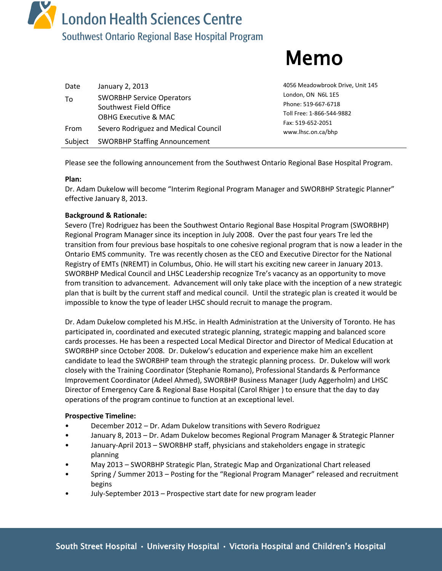

# Memo

| Date<br>To | January 2, 2013<br><b>SWORBHP Service Operators</b>       | 4056 Meadowbrook Drive, Unit 145<br>London, ON N6L 1E5                |
|------------|-----------------------------------------------------------|-----------------------------------------------------------------------|
|            | Southwest Field Office<br><b>OBHG Executive &amp; MAC</b> | Phone: 519-667-6718<br>Toll Free: 1-866-544-9882<br>Fax: 519-652-2051 |
| From       | Severo Rodriguez and Medical Council                      | www.lhsc.on.ca/bhp                                                    |
| Subject    | <b>SWORBHP Staffing Announcement</b>                      |                                                                       |

Please see the following announcement from the Southwest Ontario Regional Base Hospital Program.

## **Plan:**

Dr. Adam Dukelow will become "Interim Regional Program Manager and SWORBHP Strategic Planner" effective January 8, 2013.

## **Background & Rationale:**

Severo (Tre) Rodriguez has been the Southwest Ontario Regional Base Hospital Program (SWORBHP) Regional Program Manager since its inception in July 2008. Over the past four years Tre led the transition from four previous base hospitals to one cohesive regional program that is now a leader in the Ontario EMS community. Tre was recently chosen as the CEO and Executive Director for the National Registry of EMTs (NREMT) in Columbus, Ohio. He will start his exciting new career in January 2013. SWORBHP Medical Council and LHSC Leadership recognize Tre's vacancy as an opportunity to move from transition to advancement. Advancement will only take place with the inception of a new strategic plan that is built by the current staff and medical council. Until the strategic plan is created it would be impossible to know the type of leader LHSC should recruit to manage the program.

Dr. Adam Dukelow completed his M.HSc. in Health Administration at the University of Toronto. He has participated in, coordinated and executed strategic planning, strategic mapping and balanced score cards processes. He has been a respected Local Medical Director and Director of Medical Education at SWORBHP since October 2008. Dr. Dukelow's education and experience make him an excellent candidate to lead the SWORBHP team through the strategic planning process. Dr. Dukelow will work closely with the Training Coordinator (Stephanie Romano), Professional Standards & Performance Improvement Coordinator (Adeel Ahmed), SWORBHP Business Manager (Judy Aggerholm) and LHSC Director of Emergency Care & Regional Base Hospital (Carol Rhiger ) to ensure that the day to day operations of the program continue to function at an exceptional level.

## **Prospective Timeline:**

- December 2012 Dr. Adam Dukelow transitions with Severo Rodriguez
- January 8, 2013 Dr. Adam Dukelow becomes Regional Program Manager & Strategic Planner
- January-April 2013 SWORBHP staff, physicians and stakeholders engage in strategic planning
- May 2013 SWORBHP Strategic Plan, Strategic Map and Organizational Chart released
- Spring / Summer 2013 Posting for the "Regional Program Manager" released and recruitment begins
- July-September 2013 Prospective start date for new program leader